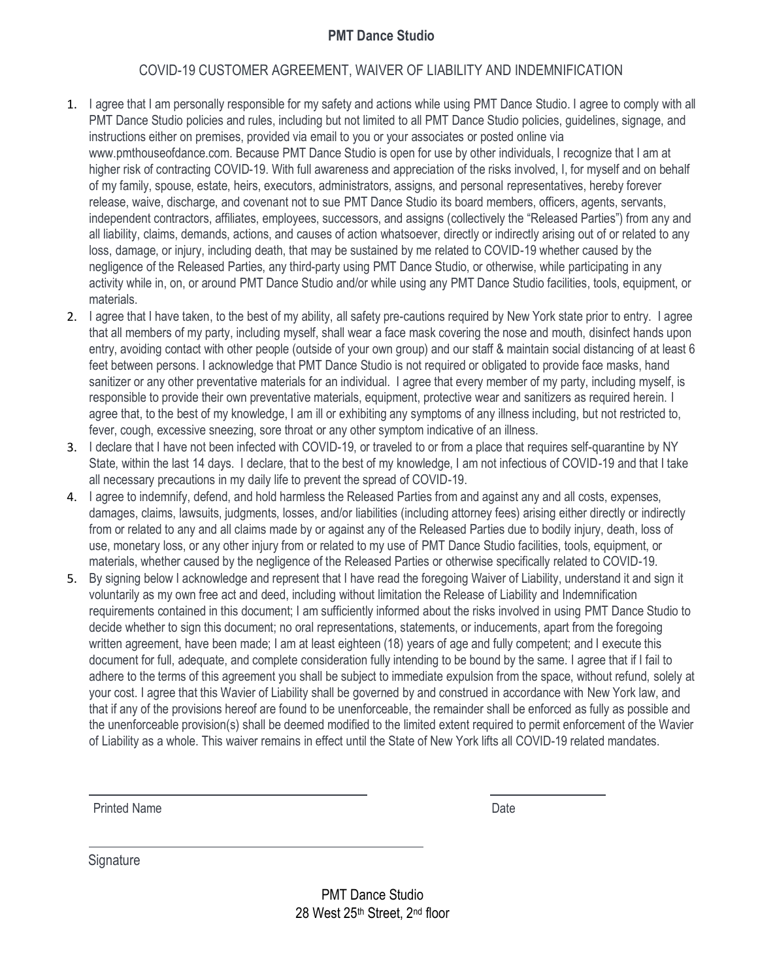## **PMT Dance Studio**

## COVID-19 CUSTOMER AGREEMENT, WAIVER OF LIABILITY AND INDEMNIFICATION

- 1. I agree that I am personally responsible for my safety and actions while using PMT Dance Studio. I agree to comply with all PMT Dance Studio policies and rules, including but not limited to all PMT Dance Studio policies, guidelines, signage, and instructions either on premises, provided via email to you or your associates or posted online via www.pmthouseofdance.com. Because PMT Dance Studio is open for use by other individuals, I recognize that I am at higher risk of contracting COVID-19. With full awareness and appreciation of the risks involved, I, for myself and on behalf of my family, spouse, estate, heirs, executors, administrators, assigns, and personal representatives, hereby forever release, waive, discharge, and covenant not to sue PMT Dance Studio its board members, officers, agents, servants, independent contractors, affiliates, employees, successors, and assigns (collectively the "Released Parties") from any and all liability, claims, demands, actions, and causes of action whatsoever, directly or indirectly arising out of or related to any loss, damage, or injury, including death, that may be sustained by me related to COVID-19 whether caused by the negligence of the Released Parties, any third-party using PMT Dance Studio, or otherwise, while participating in any activity while in, on, or around PMT Dance Studio and/or while using any PMT Dance Studio facilities, tools, equipment, or materials.
- 2. I agree that I have taken, to the best of my ability, all safety pre-cautions required by New York state prior to entry. I agree that all members of my party, including myself, shall wear a face mask covering the nose and mouth, disinfect hands upon entry, avoiding contact with other people (outside of your own group) and our staff & maintain social distancing of at least 6 feet between persons. I acknowledge that PMT Dance Studio is not required or obligated to provide face masks, hand sanitizer or any other preventative materials for an individual. I agree that every member of my party, including myself, is responsible to provide their own preventative materials, equipment, protective wear and sanitizers as required herein. I agree that, to the best of my knowledge, I am ill or exhibiting any symptoms of any illness including, but not restricted to, fever, cough, excessive sneezing, sore throat or any other symptom indicative of an illness.
- 3. I declare that I have not been infected with COVID-19, or traveled to or from a place that requires self-quarantine by NY State, within the last 14 days. I declare, that to the best of my knowledge, I am not infectious of COVID-19 and that I take all necessary precautions in my daily life to prevent the spread of COVID-19.
- 4. I agree to indemnify, defend, and hold harmless the Released Parties from and against any and all costs, expenses, damages, claims, lawsuits, judgments, losses, and/or liabilities (including attorney fees) arising either directly or indirectly from or related to any and all claims made by or against any of the Released Parties due to bodily injury, death, loss of use, monetary loss, or any other injury from or related to my use of PMT Dance Studio facilities, tools, equipment, or materials, whether caused by the negligence of the Released Parties or otherwise specifically related to COVID-19.
- 5. By signing below I acknowledge and represent that I have read the foregoing Waiver of Liability, understand it and sign it voluntarily as my own free act and deed, including without limitation the Release of Liability and Indemnification requirements contained in this document; I am sufficiently informed about the risks involved in using PMT Dance Studio to decide whether to sign this document; no oral representations, statements, or inducements, apart from the foregoing written agreement, have been made; I am at least eighteen (18) years of age and fully competent; and I execute this document for full, adequate, and complete consideration fully intending to be bound by the same. I agree that if I fail to adhere to the terms of this agreement you shall be subject to immediate expulsion from the space, without refund, solely at your cost. I agree that this Wavier of Liability shall be governed by and construed in accordance with New York law, and that if any of the provisions hereof are found to be unenforceable, the remainder shall be enforced as fully as possible and the unenforceable provision(s) shall be deemed modified to the limited extent required to permit enforcement of the Wavier of Liability as a whole. This waiver remains in effect until the State of New York lifts all COVID-19 related mandates.

Printed Name Date

**Signature** 

PMT Dance Studio 28 West 25th Street, 2nd floor